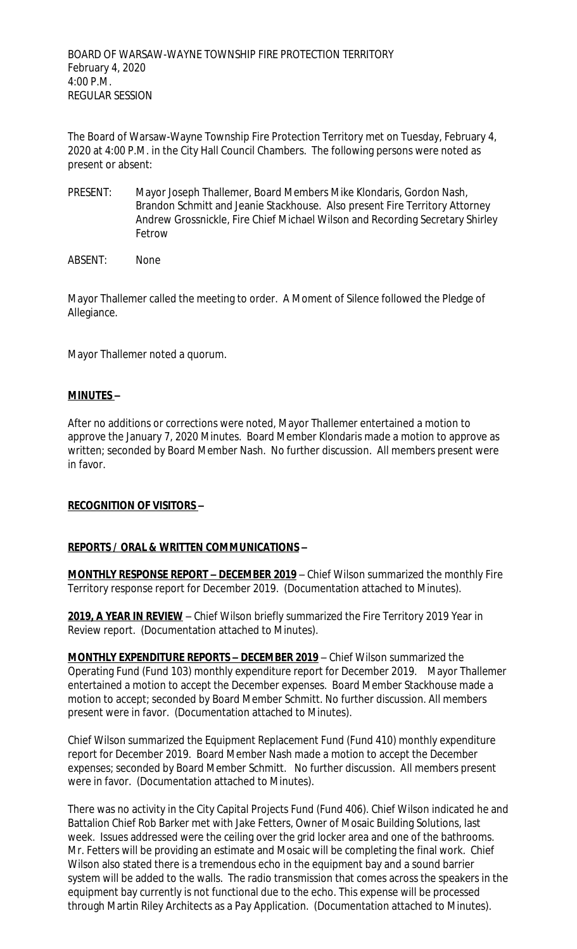The Board of Warsaw-Wayne Township Fire Protection Territory met on Tuesday, February 4, 2020 at 4:00 P.M. in the City Hall Council Chambers. The following persons were noted as present or absent:

- PRESENT: Mayor Joseph Thallemer, Board Members Mike Klondaris, Gordon Nash, Brandon Schmitt and Jeanie Stackhouse. Also present Fire Territory Attorney Andrew Grossnickle, Fire Chief Michael Wilson and Recording Secretary Shirley Fetrow
- ABSENT: None

Mayor Thallemer called the meeting to order. A Moment of Silence followed the Pledge of Allegiance.

Mayor Thallemer noted a quorum.

## **MINUTES –**

After no additions or corrections were noted, Mayor Thallemer entertained a motion to approve the January 7, 2020 Minutes. Board Member Klondaris made a motion to approve as written; seconded by Board Member Nash. No further discussion. All members present were in favor.

## **RECOGNITION OF VISITORS –**

## **REPORTS / ORAL & WRITTEN COMMUNICATIONS –**

**MONTHLY RESPONSE REPORT – DECEMBER 2019** – Chief Wilson summarized the monthly Fire Territory response report for December 2019. (Documentation attached to Minutes).

**2019, A YEAR IN REVIEW** – Chief Wilson briefly summarized the Fire Territory 2019 Year in Review report. (Documentation attached to Minutes).

**MONTHLY EXPENDITURE REPORTS – DECEMBER 2019** – Chief Wilson summarized the Operating Fund (Fund 103) monthly expenditure report for December 2019. Mayor Thallemer entertained a motion to accept the December expenses. Board Member Stackhouse made a motion to accept; seconded by Board Member Schmitt. No further discussion. All members present were in favor. (Documentation attached to Minutes).

Chief Wilson summarized the Equipment Replacement Fund (Fund 410) monthly expenditure report for December 2019. Board Member Nash made a motion to accept the December expenses; seconded by Board Member Schmitt. No further discussion. All members present were in favor. (Documentation attached to Minutes).

There was no activity in the City Capital Projects Fund (Fund 406). Chief Wilson indicated he and Battalion Chief Rob Barker met with Jake Fetters, Owner of Mosaic Building Solutions, last week. Issues addressed were the ceiling over the grid locker area and one of the bathrooms. Mr. Fetters will be providing an estimate and Mosaic will be completing the final work. Chief Wilson also stated there is a tremendous echo in the equipment bay and a sound barrier system will be added to the walls. The radio transmission that comes across the speakers in the equipment bay currently is not functional due to the echo. This expense will be processed through Martin Riley Architects as a Pay Application. (Documentation attached to Minutes).